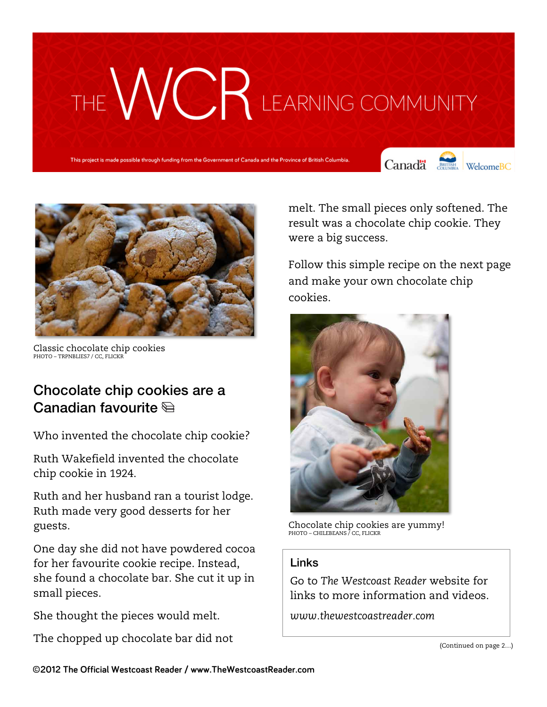# THE WCR LEARNING COMMUNITY

This project is made possible through funding from the Government of Canada and the Province of British Colur

Canada **Strategy** Welcome BC



Classic chocolate chip cookies PHOTO – TRPNBLIES7 / CC, FLICKR

# Chocolate chip cookies are a Canadian favourite

Who invented the chocolate chip cookie?

Ruth Wakefield invented the chocolate chip cookie in 1924.

Ruth and her husband ran a tourist lodge. Ruth made very good desserts for her guests.

One day she did not have powdered cocoa for her favourite cookie recipe. Instead, she found a chocolate bar. She cut it up in small pieces.

She thought the pieces would melt.

The chopped up chocolate bar did not

melt. The small pieces only softened. The result was a chocolate chip cookie. They were a big success.

Follow this simple recipe on the next page and make your own chocolate chip cookies.



Chocolate chip cookies are yummy! PHOTO – CHILEBEANS / CC, FLICKR

# Links

Go to *The Westcoast Reader* website for links to more information and videos.

*www.thewestcoastreader.com*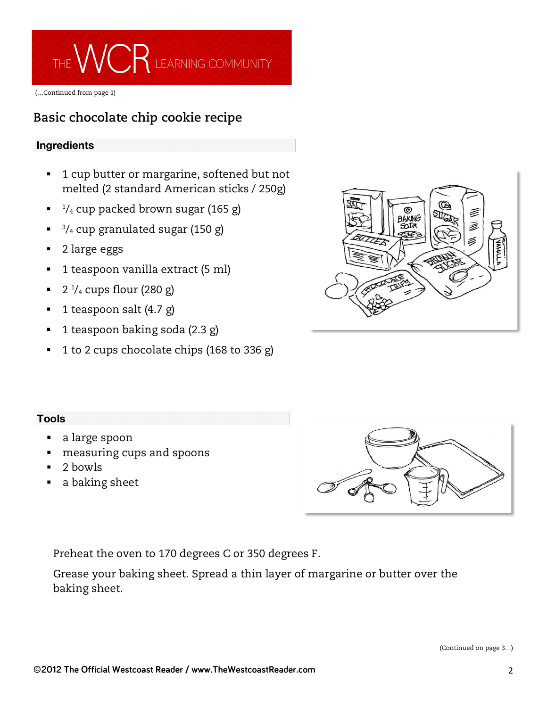

(…Continued from page 1)

# **Basic chocolate chip cookie recipe**

# **Ingredients**

- 1 cup butter or margarine, softened but not melted (2 standard American sticks / 250g)
- $\blacksquare$   $^{1}/_{4}$  cup packed brown sugar (165 g)
- $\frac{3}{4}$  cup granulated sugar (150 g)
- 2 large eggs
- 1 teaspoon vanilla extract (5 ml)
- $\blacksquare$  2  $\frac{1}{4}$  cups flour (280 g)
- § 1 teaspoon salt (4.7 g)
- § 1 teaspoon baking soda (2.3 g)
- § 1 to 2 cups chocolate chips (168 to 336 g)



# **Tools**

- § a large spoon
- § measuring cups and spoons
- § 2 bowls
- § a baking sheet



Preheat the oven to 170 degrees C or 350 degrees F.

Grease your baking sheet. Spread a thin layer of margarine or butter over the baking sheet.